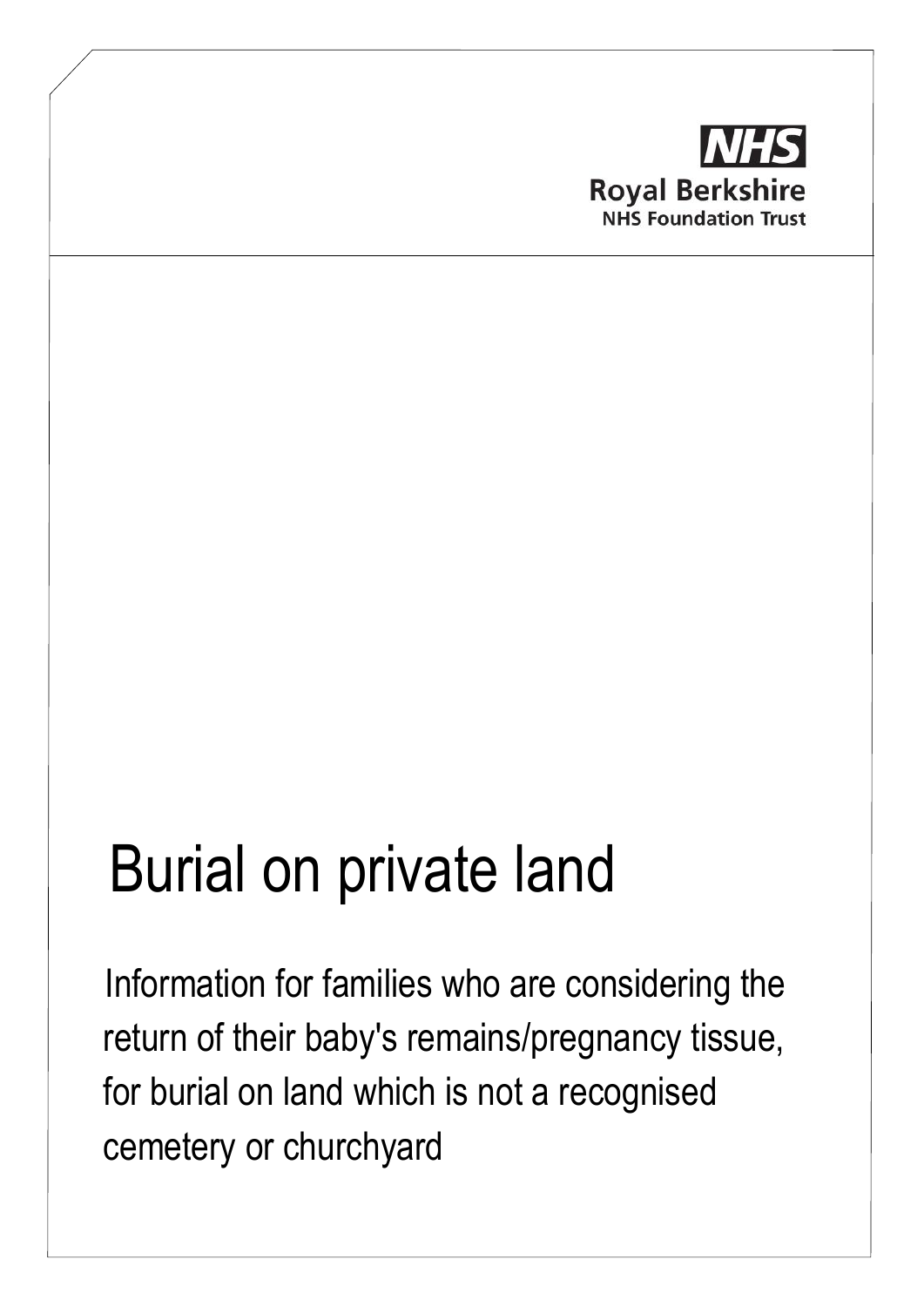

# Burial on private land

Information for families who are considering the return of their baby's remains/pregnancy tissue, for burial on land which is not a recognised cemetery or churchyard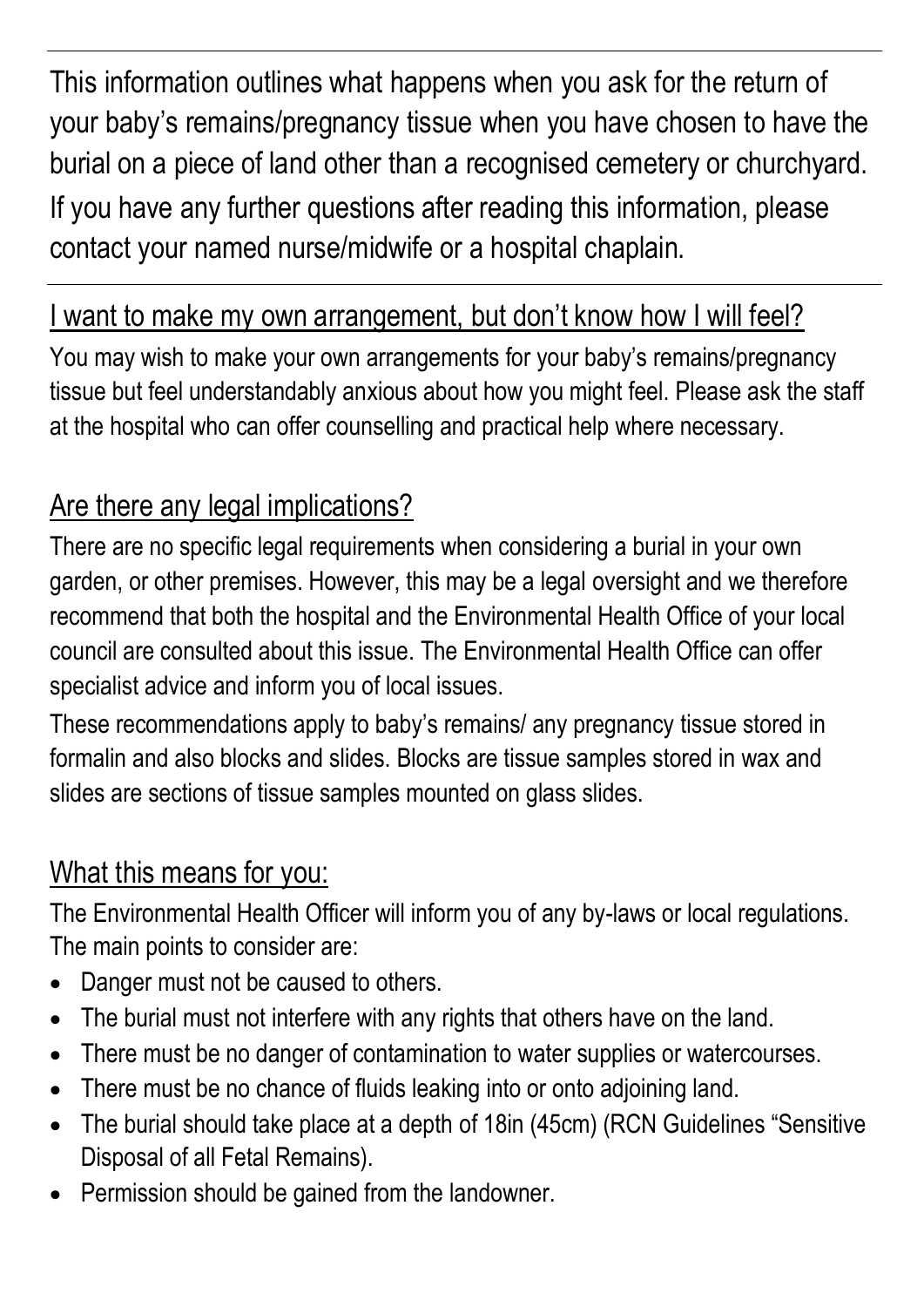This information outlines what happens when you ask for the return of your baby's remains/pregnancy tissue when you have chosen to have the burial on a piece of land other than a recognised cemetery or churchyard. If you have any further questions after reading this information, please contact your named nurse/midwife or a hospital chaplain.

#### I want to make my own arrangement, but don't know how I will feel?

You may wish to make your own arrangements for your baby's remains/pregnancy tissue but feel understandably anxious about how you might feel. Please ask the staff at the hospital who can offer counselling and practical help where necessary.

## Are there any legal implications?

There are no specific legal requirements when considering a burial in your own garden, or other premises. However, this may be a legal oversight and we therefore recommend that both the hospital and the Environmental Health Office of your local council are consulted about this issue. The Environmental Health Office can offer specialist advice and inform you of local issues.

These recommendations apply to baby's remains/ any pregnancy tissue stored in formalin and also blocks and slides. Blocks are tissue samples stored in wax and slides are sections of tissue samples mounted on glass slides.

#### What this means for you:

The Environmental Health Officer will inform you of any by-laws or local regulations. The main points to consider are:

- Danger must not be caused to others.
- The burial must not interfere with any rights that others have on the land.
- There must be no danger of contamination to water supplies or watercourses.
- There must be no chance of fluids leaking into or onto adjoining land.
- The burial should take place at a depth of 18in (45cm) (RCN Guidelines "Sensitive Disposal of all Fetal Remains).
- Permission should be gained from the landowner.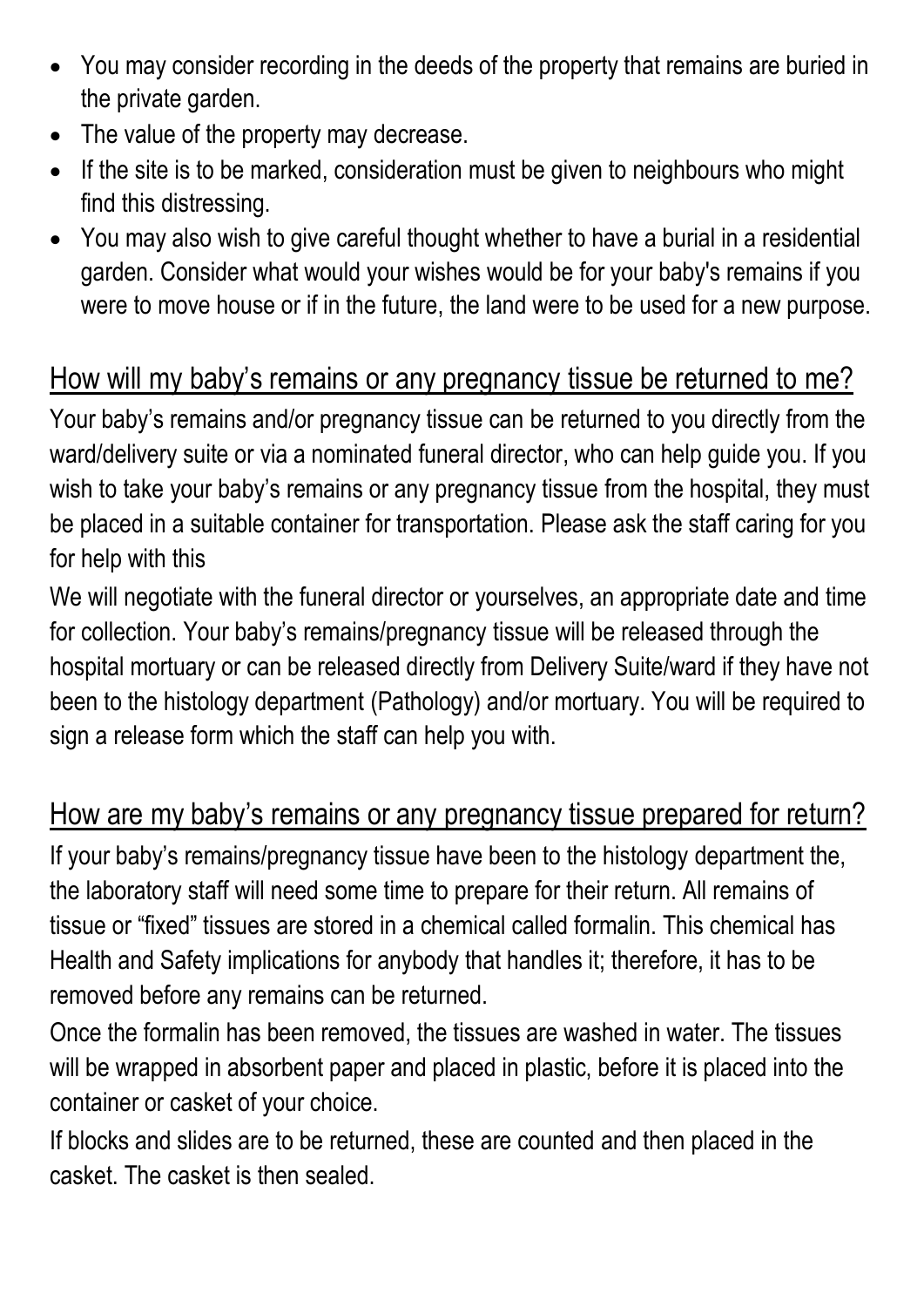- You may consider recording in the deeds of the property that remains are buried in the private garden.
- The value of the property may decrease.
- If the site is to be marked, consideration must be given to neighbours who might find this distressing.
- You may also wish to give careful thought whether to have a burial in a residential garden. Consider what would your wishes would be for your baby's remains if you were to move house or if in the future, the land were to be used for a new purpose.

## How will my baby's remains or any pregnancy tissue be returned to me?

Your baby's remains and/or pregnancy tissue can be returned to you directly from the ward/delivery suite or via a nominated funeral director, who can help guide you. If you wish to take your baby's remains or any pregnancy tissue from the hospital, they must be placed in a suitable container for transportation. Please ask the staff caring for you for help with this

We will negotiate with the funeral director or yourselves, an appropriate date and time for collection. Your baby's remains/pregnancy tissue will be released through the hospital mortuary or can be released directly from Delivery Suite/ward if they have not been to the histology department (Pathology) and/or mortuary. You will be required to sign a release form which the staff can help you with.

## How are my baby's remains or any pregnancy tissue prepared for return?

If your baby's remains/pregnancy tissue have been to the histology department the, the laboratory staff will need some time to prepare for their return. All remains of tissue or "fixed" tissues are stored in a chemical called formalin. This chemical has Health and Safety implications for anybody that handles it; therefore, it has to be removed before any remains can be returned.

Once the formalin has been removed, the tissues are washed in water. The tissues will be wrapped in absorbent paper and placed in plastic, before it is placed into the container or casket of your choice.

If blocks and slides are to be returned, these are counted and then placed in the casket. The casket is then sealed.